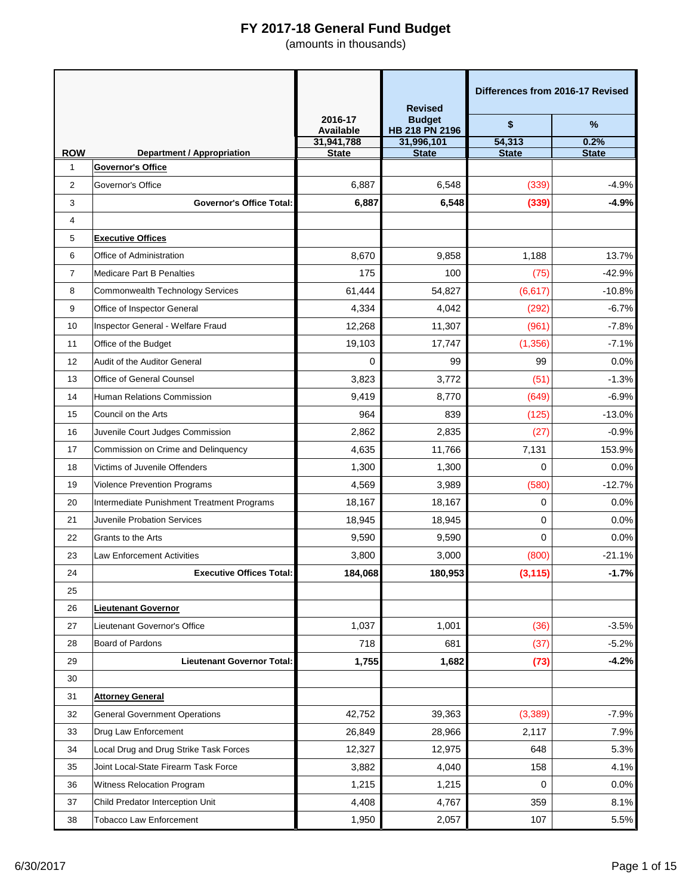|                            |                                                               |                      | <b>Revised</b>                  | Differences from 2016-17 Revised |              |
|----------------------------|---------------------------------------------------------------|----------------------|---------------------------------|----------------------------------|--------------|
|                            |                                                               | 2016-17<br>Available | <b>Budget</b><br>HB 218 PN 2196 | \$                               | $\%$         |
|                            |                                                               | 31,941,788           | 31,996,101                      | 54,313                           | 0.2%         |
| <b>ROW</b><br>$\mathbf{1}$ | <b>Department / Appropriation</b><br><b>Governor's Office</b> | <b>State</b>         | <b>State</b>                    | <b>State</b>                     | <b>State</b> |
| 2                          | Governor's Office                                             | 6,887                | 6,548                           | (339)                            | $-4.9%$      |
| 3                          | <b>Governor's Office Total:</b>                               | 6,887                | 6,548                           | (339)                            | $-4.9%$      |
| 4                          |                                                               |                      |                                 |                                  |              |
| 5                          | <b>Executive Offices</b>                                      |                      |                                 |                                  |              |
| 6                          | Office of Administration                                      | 8,670                | 9,858                           | 1,188                            | 13.7%        |
| 7                          | <b>Medicare Part B Penalties</b>                              | 175                  | 100                             | (75)                             | $-42.9%$     |
| 8                          | Commonwealth Technology Services                              | 61,444               | 54,827                          | (6, 617)                         | $-10.8%$     |
| 9                          | Office of Inspector General                                   | 4,334                | 4,042                           | (292)                            | $-6.7%$      |
| 10                         | Inspector General - Welfare Fraud                             | 12,268               | 11,307                          | (961)                            | $-7.8%$      |
| 11                         | Office of the Budget                                          | 19,103               | 17,747                          | (1, 356)                         | $-7.1%$      |
| 12                         | Audit of the Auditor General                                  | $\Omega$             | 99                              | 99                               | 0.0%         |
| 13                         | Office of General Counsel                                     | 3,823                | 3,772                           | (51)                             | $-1.3%$      |
| 14                         | Human Relations Commission                                    | 9,419                | 8,770                           | (649)                            | $-6.9%$      |
| 15                         | Council on the Arts                                           | 964                  | 839                             | (125)                            | $-13.0%$     |
| 16                         | Juvenile Court Judges Commission                              | 2,862                | 2,835                           | (27)                             | $-0.9%$      |
| 17                         | Commission on Crime and Delinquency                           | 4,635                | 11,766                          | 7,131                            | 153.9%       |
| 18                         | Victims of Juvenile Offenders                                 | 1,300                | 1,300                           | $\Omega$                         | 0.0%         |
| 19                         | Violence Prevention Programs                                  | 4,569                | 3,989                           | (580)                            | $-12.7%$     |
| 20                         | Intermediate Punishment Treatment Programs                    | 18,167               | 18,167                          | 0                                | 0.0%         |
| 21                         | Juvenile Probation Services                                   | 18,945               | 18,945                          | 0                                | 0.0%         |
| 22                         | Grants to the Arts                                            | 9,590                | 9,590                           | $\Omega$                         | 0.0%         |
| 23                         | <b>Law Enforcement Activities</b>                             | 3,800                | 3,000                           | (800)                            | $-21.1%$     |
| 24                         | <b>Executive Offices Total:</b>                               | 184,068              | 180,953                         | (3, 115)                         | $-1.7%$      |
| 25                         |                                                               |                      |                                 |                                  |              |
| 26                         | <b>Lieutenant Governor</b>                                    |                      |                                 |                                  |              |
| 27                         | Lieutenant Governor's Office                                  | 1,037                | 1,001                           | (36)                             | $-3.5%$      |
| 28                         | Board of Pardons                                              | 718                  | 681                             | (37)                             | $-5.2%$      |
| 29                         | <b>Lieutenant Governor Total:</b>                             | 1,755                | 1,682                           | (73)                             | $-4.2%$      |
| 30                         |                                                               |                      |                                 |                                  |              |
| 31                         | <b>Attorney General</b>                                       |                      |                                 |                                  |              |
| 32                         | <b>General Government Operations</b>                          | 42,752               | 39,363                          | (3, 389)                         | $-7.9%$      |
| 33                         | Drug Law Enforcement                                          | 26,849               | 28,966                          | 2,117                            | 7.9%         |
| 34                         | Local Drug and Drug Strike Task Forces                        | 12,327               | 12,975                          | 648                              | 5.3%         |
| 35                         | Joint Local-State Firearm Task Force                          | 3,882                | 4,040                           | 158                              | 4.1%         |
| 36                         | Witness Relocation Program                                    | 1,215                | 1,215                           | 0                                | 0.0%         |
| 37                         | Child Predator Interception Unit                              | 4,408                | 4,767                           | 359                              | 8.1%         |
| 38                         | <b>Tobacco Law Enforcement</b>                                | 1,950                | 2,057                           | 107                              | 5.5%         |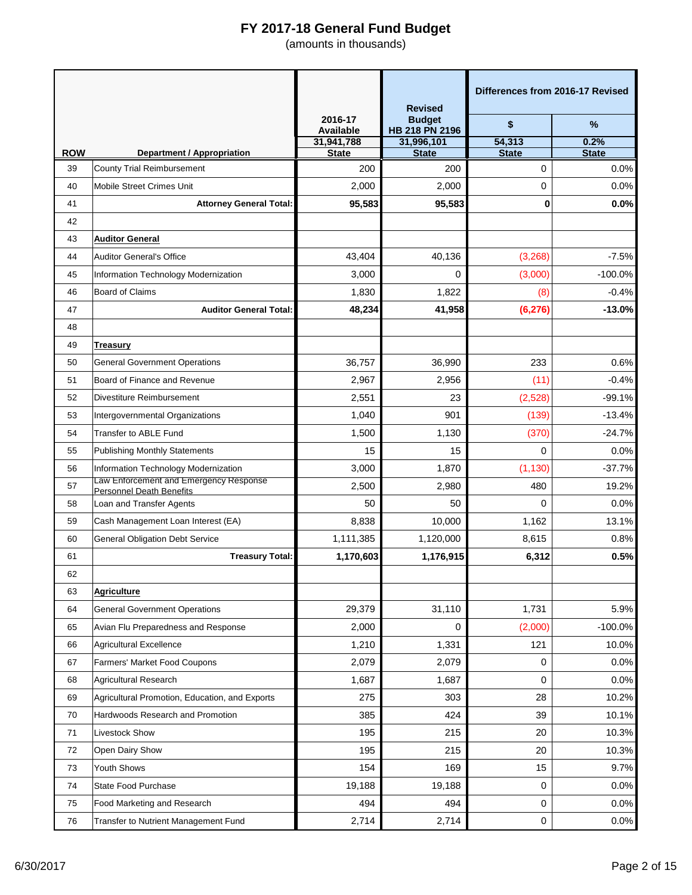|            |                                                                           |                             | <b>Revised</b>                  | Differences from 2016-17 Revised |                      |
|------------|---------------------------------------------------------------------------|-----------------------------|---------------------------------|----------------------------------|----------------------|
|            |                                                                           | 2016-17<br><b>Available</b> | <b>Budget</b><br>HB 218 PN 2196 | \$                               | $\%$                 |
| <b>ROW</b> |                                                                           | 31,941,788<br><b>State</b>  | 31,996,101<br><b>State</b>      | 54,313<br><b>State</b>           | 0.2%<br><b>State</b> |
| 39         | <b>Department / Appropriation</b><br><b>County Trial Reimbursement</b>    | 200                         | 200                             | 0                                | 0.0%                 |
| 40         | Mobile Street Crimes Unit                                                 | 2,000                       | 2,000                           | 0                                | 0.0%                 |
| 41         | <b>Attorney General Total:</b>                                            | 95,583                      | 95,583                          | 0                                | 0.0%                 |
| 42         |                                                                           |                             |                                 |                                  |                      |
| 43         | <b>Auditor General</b>                                                    |                             |                                 |                                  |                      |
| 44         | <b>Auditor General's Office</b>                                           | 43,404                      | 40,136                          | (3, 268)                         | $-7.5%$              |
| 45         | Information Technology Modernization                                      | 3,000                       | 0                               | (3,000)                          | $-100.0%$            |
| 46         | <b>Board of Claims</b>                                                    | 1,830                       | 1,822                           | (8)                              | $-0.4%$              |
| 47         | <b>Auditor General Total:</b>                                             | 48,234                      | 41,958                          | (6, 276)                         | $-13.0%$             |
| 48         |                                                                           |                             |                                 |                                  |                      |
| 49         | Treasury                                                                  |                             |                                 |                                  |                      |
| 50         | <b>General Government Operations</b>                                      | 36,757                      | 36,990                          | 233                              | 0.6%                 |
| 51         | Board of Finance and Revenue                                              | 2,967                       | 2,956                           | (11)                             | $-0.4%$              |
| 52         | Divestiture Reimbursement                                                 | 2,551                       | 23                              | (2,528)                          | $-99.1%$             |
| 53         | Intergovernmental Organizations                                           | 1,040                       | 901                             | (139)                            | $-13.4%$             |
| 54         | <b>Transfer to ABLE Fund</b>                                              | 1,500                       | 1,130                           | (370)                            | $-24.7%$             |
| 55         | <b>Publishing Monthly Statements</b>                                      | 15                          | 15                              | $\Omega$                         | 0.0%                 |
| 56         | Information Technology Modernization                                      | 3,000                       | 1,870                           | (1, 130)                         | $-37.7%$             |
| 57         | Law Enforcement and Emergency Response<br><b>Personnel Death Benefits</b> | 2,500                       | 2,980                           | 480                              | 19.2%                |
| 58         | Loan and Transfer Agents                                                  | 50                          | 50                              | 0                                | 0.0%                 |
| 59         | Cash Management Loan Interest (EA)                                        | 8,838                       | 10,000                          | 1,162                            | 13.1%                |
| 60         | <b>General Obligation Debt Service</b>                                    | 1,111,385                   | 1,120,000                       | 8,615                            | 0.8%                 |
| 61         | <b>Treasury Total:</b>                                                    | 1,170,603                   | 1,176,915                       | 6,312                            | 0.5%                 |
| 62         |                                                                           |                             |                                 |                                  |                      |
| 63         | <b>Agriculture</b>                                                        |                             |                                 |                                  |                      |
| 64         | <b>General Government Operations</b>                                      | 29,379                      | 31,110                          | 1,731                            | 5.9%                 |
| 65         | Avian Flu Preparedness and Response                                       | 2,000                       | 0                               | (2,000)                          | $-100.0%$            |
| 66         | <b>Agricultural Excellence</b>                                            | 1,210                       | 1,331                           | 121                              | 10.0%                |
| 67         | <b>Farmers' Market Food Coupons</b>                                       | 2,079                       | 2,079                           | 0                                | 0.0%                 |
| 68         | <b>Agricultural Research</b>                                              | 1,687                       | 1,687                           | 0                                | 0.0%                 |
| 69         | Agricultural Promotion, Education, and Exports                            | 275                         | 303                             | 28                               | 10.2%                |
| 70         | Hardwoods Research and Promotion                                          | 385                         | 424                             | 39                               | 10.1%                |
| 71         | Livestock Show                                                            | 195                         | 215                             | 20                               | 10.3%                |
| 72         | Open Dairy Show                                                           | 195                         | 215                             | 20                               | 10.3%                |
| 73         | Youth Shows                                                               | 154                         | 169                             | 15                               | 9.7%                 |
| 74         | <b>State Food Purchase</b>                                                | 19,188                      | 19,188                          | 0                                | 0.0%                 |
| 75         | Food Marketing and Research                                               | 494                         | 494                             | 0                                | 0.0%                 |
| 76         | Transfer to Nutrient Management Fund                                      | 2,714                       | 2,714                           | 0                                | 0.0%                 |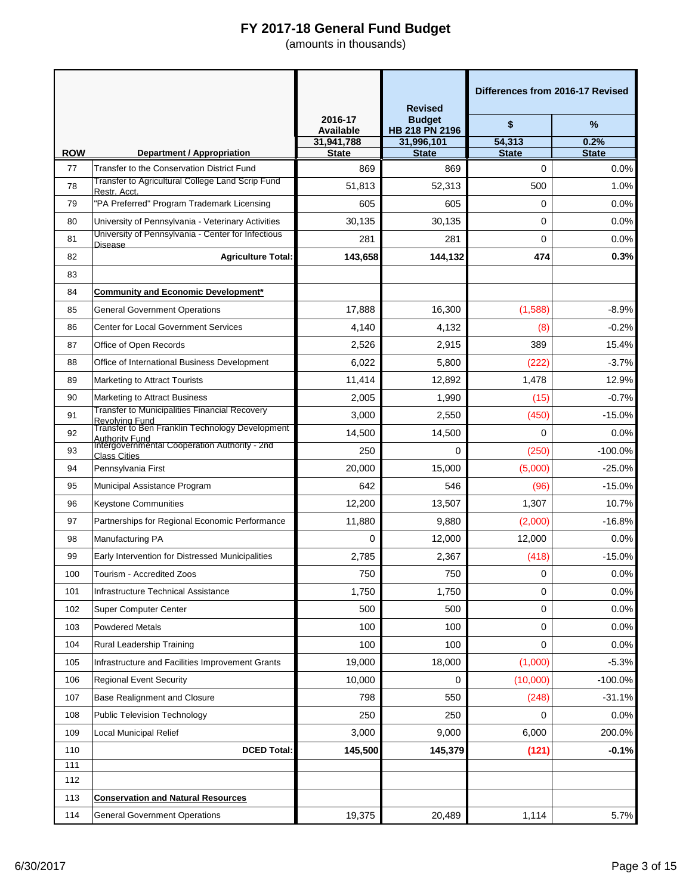|            |                                                                          |                            | <b>Revised</b>                  | Differences from 2016-17 Revised |                      |
|------------|--------------------------------------------------------------------------|----------------------------|---------------------------------|----------------------------------|----------------------|
|            |                                                                          | 2016-17<br>Available       | <b>Budget</b><br>HB 218 PN 2196 | \$                               | %                    |
| <b>ROW</b> | <b>Department / Appropriation</b>                                        | 31,941,788<br><b>State</b> | 31,996,101<br><b>State</b>      | 54,313<br><b>State</b>           | 0.2%<br><b>State</b> |
| 77         | Transfer to the Conservation District Fund                               | 869                        | 869                             | 0                                | 0.0%                 |
| 78         | Transfer to Agricultural College Land Scrip Fund                         | 51,813                     | 52,313                          | 500                              | 1.0%                 |
| 79         | Restr. Acct.<br>'PA Preferred" Program Trademark Licensing               | 605                        | 605                             | 0                                | 0.0%                 |
| 80         | University of Pennsylvania - Veterinary Activities                       | 30,135                     | 30,135                          | 0                                | 0.0%                 |
| 81         | University of Pennsylvania - Center for Infectious                       | 281                        | 281                             | 0                                | 0.0%                 |
| 82         | <b>Disease</b><br><b>Agriculture Total:</b>                              | 143,658                    | 144,132                         | 474                              | 0.3%                 |
| 83         |                                                                          |                            |                                 |                                  |                      |
| 84         | <b>Community and Economic Development*</b>                               |                            |                                 |                                  |                      |
| 85         | General Government Operations                                            | 17,888                     | 16,300                          | (1,588)                          | $-8.9%$              |
| 86         | <b>Center for Local Government Services</b>                              | 4,140                      | 4,132                           | (8)                              | $-0.2%$              |
| 87         | Office of Open Records                                                   | 2,526                      | 2,915                           | 389                              | 15.4%                |
| 88         | Office of International Business Development                             | 6,022                      | 5,800                           | (222)                            | $-3.7%$              |
| 89         | Marketing to Attract Tourists                                            | 11.414                     | 12,892                          | 1,478                            | 12.9%                |
| 90         | <b>Marketing to Attract Business</b>                                     | 2,005                      | 1,990                           | (15)                             | $-0.7%$              |
| 91         | <b>Transfer to Municipalities Financial Recovery</b><br>Revolvina Fund   | 3,000                      | 2,550                           | (450)                            | $-15.0%$             |
| 92         | Transfer to Ben Franklin Technology Development<br><b>Authority Fund</b> | 14,500                     | 14,500                          | $\Omega$                         | 0.0%                 |
| 93         | Intergovernmental Cooperation Authority - 2nd<br><b>Class Cities</b>     | 250                        | 0                               | (250)                            | $-100.0%$            |
| 94         | Pennsylvania First                                                       | 20,000                     | 15,000                          | (5,000)                          | $-25.0%$             |
| 95         | Municipal Assistance Program                                             | 642                        | 546                             | (96)                             | $-15.0%$             |
| 96         | <b>Keystone Communities</b>                                              | 12,200                     | 13,507                          | 1,307                            | 10.7%                |
| 97         | Partnerships for Regional Economic Performance                           | 11,880                     | 9,880                           | (2,000)                          | $-16.8%$             |
| 98         | Manufacturing PA                                                         | 0                          | 12,000                          | 12,000                           | 0.0%                 |
| 99         | Early Intervention for Distressed Municipalities                         | 2,785                      | 2,367                           | (418)                            | $-15.0%$             |
| 100        | Tourism - Accredited Zoos                                                | 750                        | 750                             | 0                                | 0.0%                 |
| 101        | Infrastructure Technical Assistance                                      | 1,750                      | 1,750                           | 0                                | 0.0%                 |
| 102        | Super Computer Center                                                    | 500                        | 500                             | 0                                | 0.0%                 |
| 103        | <b>Powdered Metals</b>                                                   | 100                        | 100                             | 0                                | 0.0%                 |
| 104        | Rural Leadership Training                                                | 100                        | 100                             | 0                                | 0.0%                 |
| 105        | Infrastructure and Facilities Improvement Grants                         | 19,000                     | 18,000                          | (1,000)                          | $-5.3%$              |
| 106        | <b>Regional Event Security</b>                                           | 10,000                     | 0                               | (10,000)                         | $-100.0%$            |
| 107        | <b>Base Realignment and Closure</b>                                      | 798                        | 550                             | (248)                            | $-31.1%$             |
| 108        | <b>Public Television Technology</b>                                      | 250                        | 250                             | 0                                | 0.0%                 |
| 109        | <b>Local Municipal Relief</b>                                            | 3,000                      | 9,000                           | 6,000                            | 200.0%               |
| 110        | <b>DCED Total:</b>                                                       | 145,500                    | 145,379                         | (121)                            | $-0.1%$              |
| 111        |                                                                          |                            |                                 |                                  |                      |
| 112        |                                                                          |                            |                                 |                                  |                      |
| 113        | <b>Conservation and Natural Resources</b>                                |                            |                                 |                                  |                      |
| 114        | <b>General Government Operations</b>                                     | 19,375                     | 20,489                          | 1,114                            | 5.7%                 |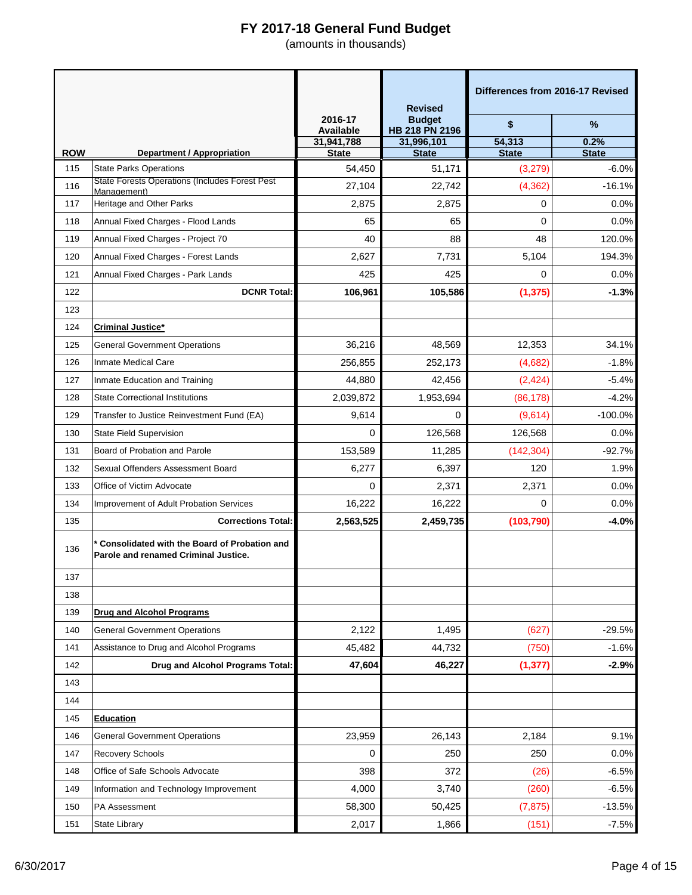|            |                                                                                        |                             | <b>Revised</b>                  | Differences from 2016-17 Revised |              |
|------------|----------------------------------------------------------------------------------------|-----------------------------|---------------------------------|----------------------------------|--------------|
|            |                                                                                        | 2016-17<br><b>Available</b> | <b>Budget</b><br>HB 218 PN 2196 | \$                               | $\%$         |
|            |                                                                                        | 31,941,788                  | 31,996,101                      | 54,313                           | 0.2%         |
| <b>ROW</b> | <b>Department / Appropriation</b>                                                      | <b>State</b>                | <b>State</b>                    | <b>State</b>                     | <b>State</b> |
| 115        | <b>State Parks Operations</b><br><b>State Forests Operations (Includes Forest Pest</b> | 54,450                      | 51,171                          | (3,279)                          | $-6.0%$      |
| 116        | Management)                                                                            | 27,104                      | 22,742                          | (4, 362)                         | $-16.1%$     |
| 117        | Heritage and Other Parks                                                               | 2,875                       | 2,875                           | 0                                | 0.0%         |
| 118        | Annual Fixed Charges - Flood Lands                                                     | 65                          | 65                              | 0                                | 0.0%         |
| 119        | Annual Fixed Charges - Project 70                                                      | 40                          | 88                              | 48                               | 120.0%       |
| 120        | Annual Fixed Charges - Forest Lands                                                    | 2,627                       | 7,731                           | 5,104                            | 194.3%       |
| 121        | Annual Fixed Charges - Park Lands                                                      | 425                         | 425                             | 0                                | 0.0%         |
| 122        | <b>DCNR Total:</b>                                                                     | 106,961                     | 105,586                         | (1, 375)                         | $-1.3%$      |
| 123        |                                                                                        |                             |                                 |                                  |              |
| 124        | <b>Criminal Justice*</b>                                                               |                             |                                 |                                  |              |
| 125        | <b>General Government Operations</b>                                                   | 36,216                      | 48,569                          | 12,353                           | 34.1%        |
| 126        | Inmate Medical Care                                                                    | 256,855                     | 252,173                         | (4,682)                          | $-1.8%$      |
| 127        | Inmate Education and Training                                                          | 44,880                      | 42,456                          | (2, 424)                         | $-5.4%$      |
| 128        | <b>State Correctional Institutions</b>                                                 | 2,039,872                   | 1,953,694                       | (86, 178)                        | $-4.2%$      |
| 129        | Transfer to Justice Reinvestment Fund (EA)                                             | 9,614                       | $\Omega$                        | (9,614)                          | $-100.0%$    |
| 130        | State Field Supervision                                                                | 0                           | 126,568                         | 126,568                          | 0.0%         |
| 131        | Board of Probation and Parole                                                          | 153,589                     | 11,285                          | (142, 304)                       | $-92.7%$     |
| 132        | Sexual Offenders Assessment Board                                                      | 6,277                       | 6,397                           | 120                              | 1.9%         |
| 133        | Office of Victim Advocate                                                              | 0                           | 2,371                           | 2,371                            | 0.0%         |
| 134        | Improvement of Adult Probation Services                                                | 16,222                      | 16,222                          | $\Omega$                         | 0.0%         |
| 135        | <b>Corrections Total:</b>                                                              | 2,563,525                   | 2,459,735                       | (103, 790)                       | $-4.0%$      |
| 136        | * Consolidated with the Board of Probation and<br>Parole and renamed Criminal Justice. |                             |                                 |                                  |              |
| 137        |                                                                                        |                             |                                 |                                  |              |
| 138        |                                                                                        |                             |                                 |                                  |              |
| 139        | <b>Drug and Alcohol Programs</b>                                                       |                             |                                 |                                  |              |
| 140        | <b>General Government Operations</b>                                                   | 2,122                       | 1,495                           | (627)                            | $-29.5%$     |
| 141        | Assistance to Drug and Alcohol Programs                                                | 45,482                      | 44,732                          | (750)                            | $-1.6%$      |
| 142        | Drug and Alcohol Programs Total:                                                       | 47,604                      | 46,227                          | (1, 377)                         | $-2.9%$      |
| 143        |                                                                                        |                             |                                 |                                  |              |
| 144        |                                                                                        |                             |                                 |                                  |              |
| 145        | <b>Education</b>                                                                       |                             |                                 |                                  |              |
| 146        | <b>General Government Operations</b>                                                   | 23,959                      | 26,143                          | 2,184                            | 9.1%         |
| 147        | Recovery Schools                                                                       | 0                           | 250                             | 250                              | 0.0%         |
| 148        | Office of Safe Schools Advocate                                                        | 398                         | 372                             | (26)                             | $-6.5%$      |
| 149        | Information and Technology Improvement                                                 | 4,000                       | 3,740                           | (260)                            | $-6.5%$      |
| 150        | PA Assessment                                                                          | 58,300                      | 50,425                          | (7, 875)                         | $-13.5%$     |
| 151        | State Library                                                                          | 2,017                       | 1,866                           | (151)                            | $-7.5%$      |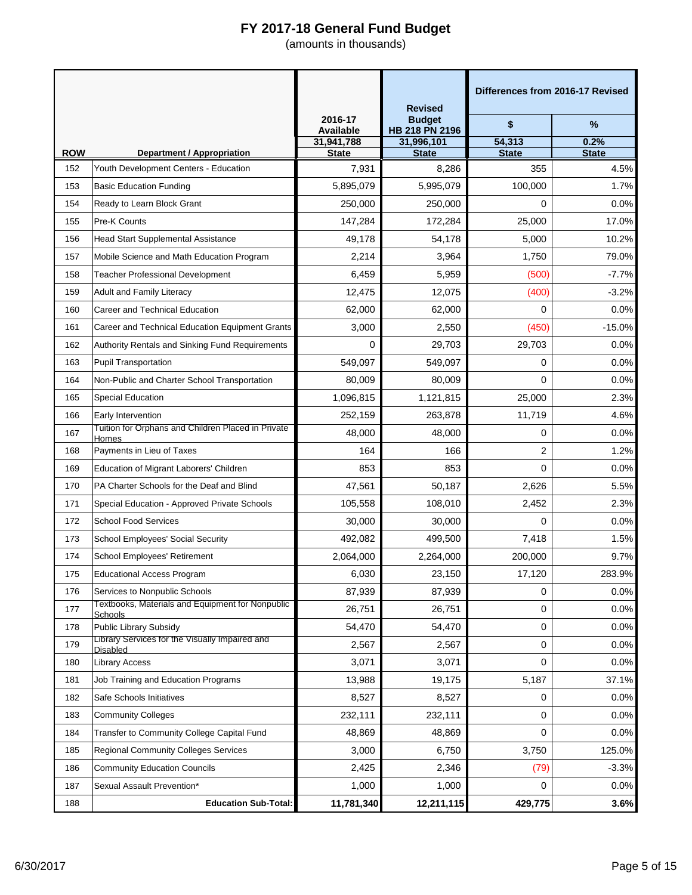|            |                                                             |                             | <b>Revised</b>                  | Differences from 2016-17 Revised |                      |
|------------|-------------------------------------------------------------|-----------------------------|---------------------------------|----------------------------------|----------------------|
|            |                                                             | 2016-17<br><b>Available</b> | <b>Budget</b><br>HB 218 PN 2196 | \$                               | $\%$                 |
| <b>ROW</b> | <b>Department / Appropriation</b>                           | 31,941,788<br><b>State</b>  | 31,996,101<br><b>State</b>      | 54,313<br><b>State</b>           | 0.2%<br><b>State</b> |
| 152        | Youth Development Centers - Education                       | 7,931                       | 8,286                           | 355                              | 4.5%                 |
| 153        | <b>Basic Education Funding</b>                              | 5,895,079                   | 5,995,079                       | 100,000                          | 1.7%                 |
| 154        | Ready to Learn Block Grant                                  | 250,000                     | 250,000                         | 0                                | 0.0%                 |
| 155        | Pre-K Counts                                                | 147,284                     | 172,284                         | 25,000                           | 17.0%                |
| 156        | <b>Head Start Supplemental Assistance</b>                   | 49,178                      | 54,178                          | 5,000                            | 10.2%                |
| 157        | Mobile Science and Math Education Program                   | 2,214                       | 3,964                           | 1,750                            | 79.0%                |
| 158        | Teacher Professional Development                            | 6,459                       | 5,959                           | (500)                            | $-7.7%$              |
| 159        | <b>Adult and Family Literacy</b>                            | 12,475                      | 12,075                          | (400)                            | $-3.2%$              |
| 160        | Career and Technical Education                              | 62,000                      | 62,000                          | 0                                | 0.0%                 |
| 161        | Career and Technical Education Equipment Grants             | 3,000                       | 2,550                           | (450)                            | $-15.0%$             |
| 162        | Authority Rentals and Sinking Fund Requirements             | $\mathbf 0$                 | 29,703                          | 29,703                           | 0.0%                 |
| 163        | <b>Pupil Transportation</b>                                 | 549,097                     | 549,097                         | 0                                | 0.0%                 |
| 164        | Non-Public and Charter School Transportation                | 80,009                      | 80,009                          | 0                                | 0.0%                 |
| 165        | <b>Special Education</b>                                    | 1,096,815                   | 1,121,815                       | 25,000                           | 2.3%                 |
| 166        | Early Intervention                                          | 252,159                     | 263,878                         | 11,719                           | 4.6%                 |
| 167        | Tuition for Orphans and Children Placed in Private<br>Homes | 48,000                      | 48,000                          | 0                                | 0.0%                 |
| 168        | Payments in Lieu of Taxes                                   | 164                         | 166                             | 2                                | 1.2%                 |
| 169        | Education of Migrant Laborers' Children                     | 853                         | 853                             | 0                                | 0.0%                 |
| 170        | PA Charter Schools for the Deaf and Blind                   | 47,561                      | 50,187                          | 2,626                            | 5.5%                 |
| 171        | Special Education - Approved Private Schools                | 105,558                     | 108,010                         | 2,452                            | 2.3%                 |
| 172        | <b>School Food Services</b>                                 | 30,000                      | 30,000                          | 0                                | 0.0%                 |
| 173        | <b>School Employees' Social Security</b>                    | 492,082                     | 499,500                         | 7,418                            | 1.5%                 |
| 174        | School Employees' Retirement                                | 2,064,000                   | 2,264,000                       | 200,000                          | 9.7%                 |
| 175        | <b>Educational Access Program</b>                           | 6,030                       | 23,150                          | 17,120                           | 283.9%               |
| 176        | Services to Nonpublic Schools                               | 87,939                      | 87,939                          | 0                                | 0.0%                 |
| 177        | Textbooks, Materials and Equipment for Nonpublic<br>Schools | 26,751                      | 26,751                          | 0                                | 0.0%                 |
| 178        | Public Library Subsidy                                      | 54,470                      | 54,470                          | 0                                | 0.0%                 |
| 179        | Library Services for the Visually Impaired and<br>Disabled  | 2,567                       | 2,567                           | 0                                | 0.0%                 |
| 180        | <b>Library Access</b>                                       | 3,071                       | 3,071                           | 0                                | 0.0%                 |
| 181        | Job Training and Education Programs                         | 13,988                      | 19,175                          | 5,187                            | 37.1%                |
| 182        | Safe Schools Initiatives                                    | 8,527                       | 8,527                           | 0                                | 0.0%                 |
| 183        | <b>Community Colleges</b>                                   | 232,111                     | 232,111                         | 0                                | 0.0%                 |
| 184        | Transfer to Community College Capital Fund                  | 48,869                      | 48,869                          | 0                                | 0.0%                 |
| 185        | <b>Regional Community Colleges Services</b>                 | 3,000                       | 6,750                           | 3,750                            | 125.0%               |
| 186        | <b>Community Education Councils</b>                         | 2,425                       | 2,346                           | (79)                             | $-3.3%$              |
| 187        | Sexual Assault Prevention*                                  | 1,000                       | 1,000                           | $\Omega$                         | 0.0%                 |
| 188        | <b>Education Sub-Total:</b>                                 | 11,781,340                  | 12,211,115                      | 429,775                          | 3.6%                 |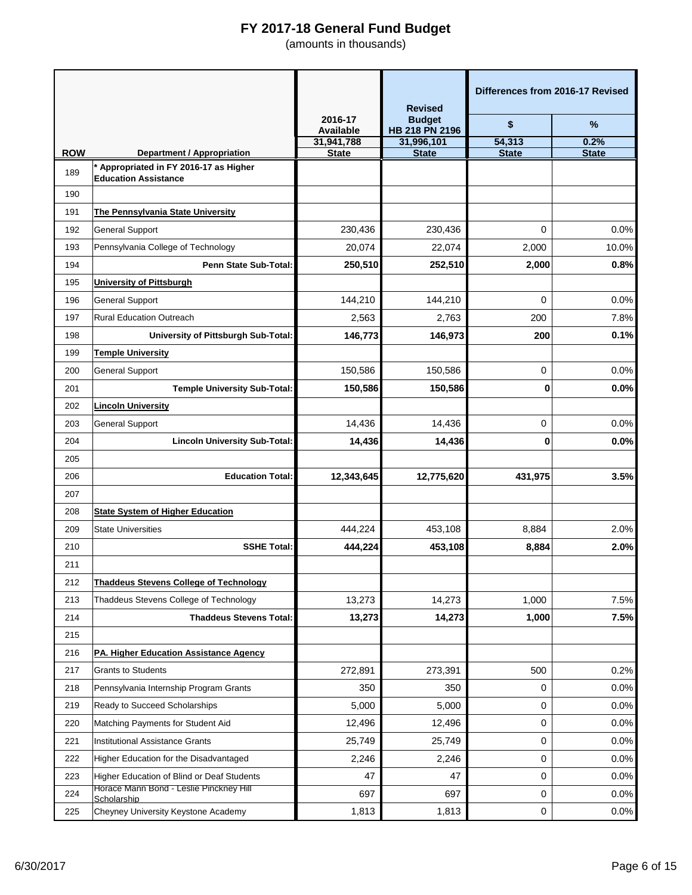|            |                                                                             |                             | <b>Revised</b>                  | Differences from 2016-17 Revised |              |
|------------|-----------------------------------------------------------------------------|-----------------------------|---------------------------------|----------------------------------|--------------|
|            |                                                                             | 2016-17<br><b>Available</b> | <b>Budget</b><br>HB 218 PN 2196 | \$                               | $\%$         |
|            |                                                                             | 31,941,788                  | 31,996,101                      | 54,313                           | 0.2%         |
| <b>ROW</b> | <b>Department / Appropriation</b><br>* Appropriated in FY 2016-17 as Higher | <b>State</b>                | <b>State</b>                    | <b>State</b>                     | <b>State</b> |
| 189        | <b>Education Assistance</b>                                                 |                             |                                 |                                  |              |
| 190        |                                                                             |                             |                                 |                                  |              |
| 191        | The Pennsylvania State University                                           |                             |                                 |                                  |              |
| 192        | <b>General Support</b>                                                      | 230,436                     | 230,436                         | 0                                | 0.0%         |
| 193        | Pennsylvania College of Technology                                          | 20,074                      | 22,074                          | 2,000                            | 10.0%        |
| 194        | Penn State Sub-Total:                                                       | 250,510                     | 252,510                         | 2,000                            | 0.8%         |
| 195        | <b>University of Pittsburgh</b>                                             |                             |                                 |                                  |              |
| 196        | <b>General Support</b>                                                      | 144,210                     | 144,210                         | $\Omega$                         | 0.0%         |
| 197        | <b>Rural Education Outreach</b>                                             | 2,563                       | 2,763                           | 200                              | 7.8%         |
| 198        | University of Pittsburgh Sub-Total:                                         | 146,773                     | 146,973                         | 200                              | 0.1%         |
| 199        | <b>Temple University</b>                                                    |                             |                                 |                                  |              |
| 200        | <b>General Support</b>                                                      | 150,586                     | 150,586                         | 0                                | 0.0%         |
| 201        | <b>Temple University Sub-Total:</b>                                         | 150,586                     | 150,586                         | 0                                | 0.0%         |
| 202        | <b>Lincoln University</b>                                                   |                             |                                 |                                  |              |
| 203        | <b>General Support</b>                                                      | 14,436                      | 14,436                          | 0                                | 0.0%         |
| 204        | <b>Lincoln University Sub-Total:</b>                                        | 14,436                      | 14,436                          | 0                                | 0.0%         |
| 205        |                                                                             |                             |                                 |                                  |              |
| 206        | <b>Education Total:</b>                                                     | 12,343,645                  | 12,775,620                      | 431,975                          | 3.5%         |
| 207        |                                                                             |                             |                                 |                                  |              |
| 208        | <b>State System of Higher Education</b>                                     |                             |                                 |                                  |              |
| 209        | <b>State Universities</b>                                                   | 444,224                     | 453,108                         | 8,884                            | 2.0%         |
| 210        | <b>SSHE Total:</b>                                                          | 444.224                     | 453,108                         | 8,884                            | 2.0%         |
| 211        |                                                                             |                             |                                 |                                  |              |
| 212        | <b>Thaddeus Stevens College of Technology</b>                               |                             |                                 |                                  |              |
| 213        | Thaddeus Stevens College of Technology                                      | 13,273                      | 14,273                          | 1,000                            | 7.5%         |
| 214        | <b>Thaddeus Stevens Total:</b>                                              | 13,273                      | 14,273                          | 1,000                            | 7.5%         |
| 215        |                                                                             |                             |                                 |                                  |              |
| 216        | PA. Higher Education Assistance Agency                                      |                             |                                 |                                  |              |
| 217        | <b>Grants to Students</b>                                                   | 272,891                     | 273,391                         | 500                              | 0.2%         |
| 218        | Pennsylvania Internship Program Grants                                      | 350                         | 350                             | 0                                | 0.0%         |
| 219        | Ready to Succeed Scholarships                                               | 5,000                       | 5,000                           | 0                                | 0.0%         |
| 220        | Matching Payments for Student Aid                                           | 12,496                      | 12,496                          | 0                                | 0.0%         |
| 221        | <b>Institutional Assistance Grants</b>                                      | 25,749                      | 25,749                          | 0                                | 0.0%         |
| 222        | Higher Education for the Disadvantaged                                      | 2,246                       | 2,246                           | 0                                | 0.0%         |
| 223        | Higher Education of Blind or Deaf Students                                  | 47                          | 47                              | 0                                | 0.0%         |
| 224        | Horace Mann Bond - Leslie Pinckney Hill<br>Scholarship                      | 697                         | 697                             | 0                                | 0.0%         |
| 225        | Cheyney University Keystone Academy                                         | 1,813                       | 1,813                           | 0                                | 0.0%         |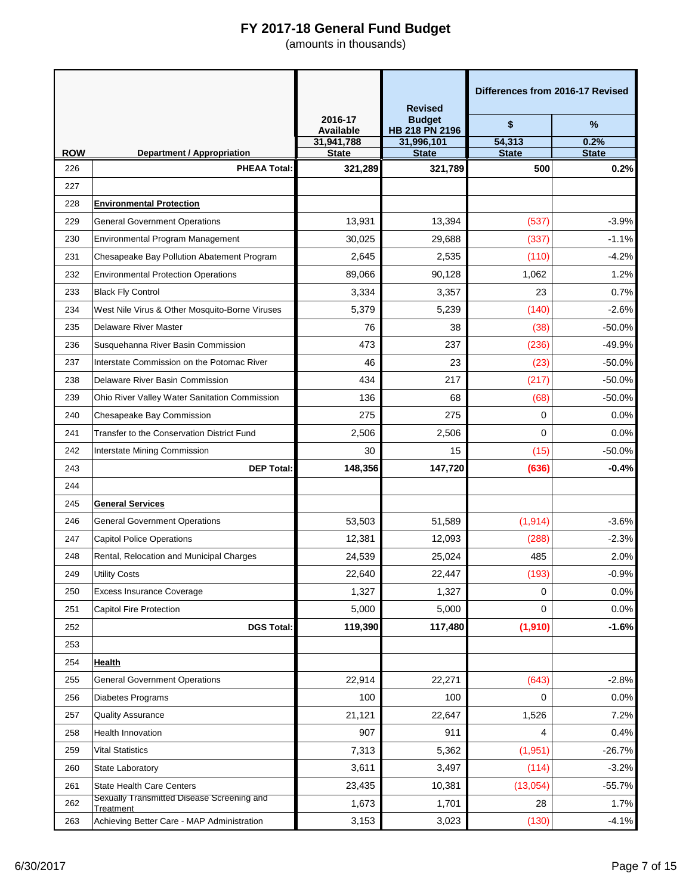|                   |                                                          |                             | <b>Revised</b>                  | Differences from 2016-17 Revised |                      |
|-------------------|----------------------------------------------------------|-----------------------------|---------------------------------|----------------------------------|----------------------|
|                   |                                                          | 2016-17<br><b>Available</b> | <b>Budget</b><br>HB 218 PN 2196 | \$                               | %                    |
|                   |                                                          | 31,941,788                  | 31,996,101                      | 54,313                           | 0.2%                 |
| <b>ROW</b><br>226 | <b>Department / Appropriation</b><br><b>PHEAA Total:</b> | <b>State</b><br>321,289     | <b>State</b><br>321,789         | <b>State</b><br>500              | <b>State</b><br>0.2% |
| 227               |                                                          |                             |                                 |                                  |                      |
| 228               | <b>Environmental Protection</b>                          |                             |                                 |                                  |                      |
| 229               | <b>General Government Operations</b>                     | 13,931                      | 13,394                          | (537)                            | $-3.9%$              |
| 230               | <b>Environmental Program Management</b>                  | 30,025                      | 29,688                          | (337)                            | $-1.1%$              |
| 231               | Chesapeake Bay Pollution Abatement Program               | 2,645                       | 2,535                           | (110)                            | $-4.2%$              |
| 232               | <b>Environmental Protection Operations</b>               | 89,066                      | 90,128                          | 1,062                            | 1.2%                 |
| 233               | <b>Black Fly Control</b>                                 | 3,334                       | 3,357                           | 23                               | 0.7%                 |
| 234               | West Nile Virus & Other Mosquito-Borne Viruses           | 5,379                       | 5,239                           | (140)                            | $-2.6%$              |
| 235               | Delaware River Master                                    | 76                          | 38                              | (38)                             | $-50.0%$             |
| 236               | Susquehanna River Basin Commission                       | 473                         | 237                             | (236)                            | $-49.9%$             |
| 237               | Interstate Commission on the Potomac River               | 46                          | 23                              | (23)                             | $-50.0%$             |
| 238               | Delaware River Basin Commission                          | 434                         | 217                             | (217)                            | $-50.0%$             |
| 239               | Ohio River Valley Water Sanitation Commission            | 136                         | 68                              | (68)                             | $-50.0%$             |
| 240               | Chesapeake Bay Commission                                | 275                         | 275                             | 0                                | 0.0%                 |
| 241               | Transfer to the Conservation District Fund               | 2,506                       | 2,506                           | 0                                | 0.0%                 |
| 242               | Interstate Mining Commission                             | 30                          | 15                              | (15)                             | $-50.0%$             |
| 243               | <b>DEP Total:</b>                                        | 148,356                     | 147,720                         | (636)                            | $-0.4%$              |
| 244               |                                                          |                             |                                 |                                  |                      |
| 245               | <b>General Services</b>                                  |                             |                                 |                                  |                      |
| 246               | <b>General Government Operations</b>                     | 53,503                      | 51,589                          | (1, 914)                         | $-3.6%$              |
| 247               | <b>Capitol Police Operations</b>                         | 12,381                      | 12,093                          | (288)                            | $-2.3%$              |
| 248               | Rental, Relocation and Municipal Charges                 | 24,539                      | 25,024                          | 485                              | 2.0%                 |
| 249               | <b>Utility Costs</b>                                     | 22,640                      | 22,447                          | (193)                            | $-0.9%$              |
| 250               | Excess Insurance Coverage                                | 1,327                       | 1,327                           | 0                                | 0.0%                 |
| 251               | Capitol Fire Protection                                  | 5,000                       | 5,000                           | 0                                | 0.0%                 |
| 252               | <b>DGS Total:</b>                                        | 119,390                     | 117,480                         | (1,910)                          | $-1.6%$              |
| 253               |                                                          |                             |                                 |                                  |                      |
| 254               | Health                                                   |                             |                                 |                                  |                      |
| 255               | <b>General Government Operations</b>                     | 22,914                      | 22,271                          | (643)                            | $-2.8%$              |
| 256               | Diabetes Programs                                        | 100                         | 100                             | 0                                | 0.0%                 |
| 257               | <b>Quality Assurance</b>                                 | 21,121                      | 22,647                          | 1,526                            | 7.2%                 |
| 258               | <b>Health Innovation</b>                                 | 907                         | 911                             | 4                                | 0.4%                 |
| 259               | <b>Vital Statistics</b>                                  | 7,313                       | 5,362                           | (1, 951)                         | $-26.7%$             |
| 260               | State Laboratory                                         | 3,611                       | 3,497                           | (114)                            | $-3.2%$              |
| 261               | <b>State Health Care Centers</b>                         | 23,435                      | 10,381                          | (13,054)                         | $-55.7%$             |
| 262               | Sexually Transmitted Disease Screening and<br>Treatment  | 1,673                       | 1,701                           | 28                               | 1.7%                 |
| 263               | Achieving Better Care - MAP Administration               | 3,153                       | 3,023                           | (130)                            | $-4.1%$              |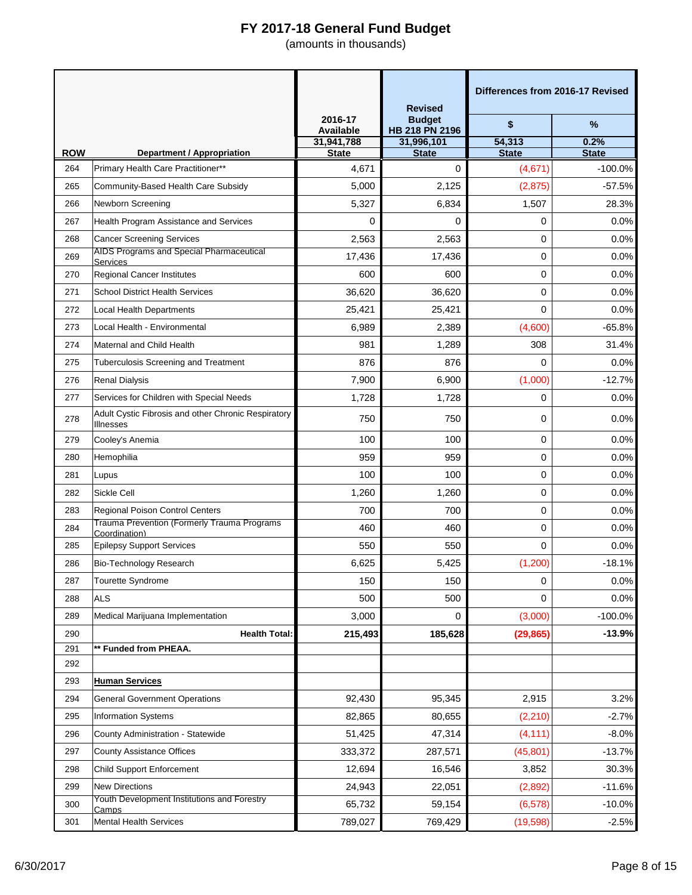|                   |                                                                                     |                             | <b>Revised</b>                  | Differences from 2016-17 Revised |              |
|-------------------|-------------------------------------------------------------------------------------|-----------------------------|---------------------------------|----------------------------------|--------------|
|                   |                                                                                     | 2016-17<br><b>Available</b> | <b>Budget</b><br>HB 218 PN 2196 | \$                               | $\%$         |
|                   |                                                                                     | 31,941,788                  | 31,996,101                      | 54,313                           | 0.2%         |
| <b>ROW</b><br>264 | <b>Department / Appropriation</b>                                                   | <b>State</b>                | <b>State</b>                    | <b>State</b>                     | <b>State</b> |
|                   | Primary Health Care Practitioner**                                                  | 4,671                       | 0                               | (4,671)                          | $-100.0%$    |
| 265               | Community-Based Health Care Subsidy                                                 | 5,000                       | 2,125                           | (2,875)                          | $-57.5%$     |
| 266               | Newborn Screening                                                                   | 5,327                       | 6,834                           | 1,507                            | 28.3%        |
| 267               | <b>Health Program Assistance and Services</b>                                       | 0                           | 0                               | 0                                | 0.0%         |
| 268               | <b>Cancer Screening Services</b><br><b>AIDS Programs and Special Pharmaceutical</b> | 2,563                       | 2,563                           | 0                                | 0.0%         |
| 269               | Services                                                                            | 17,436                      | 17,436                          | 0                                | 0.0%         |
| 270               | <b>Regional Cancer Institutes</b>                                                   | 600                         | 600                             | 0                                | 0.0%         |
| 271               | <b>School District Health Services</b>                                              | 36,620                      | 36,620                          | 0                                | 0.0%         |
| 272               | <b>Local Health Departments</b>                                                     | 25,421                      | 25,421                          | 0                                | 0.0%         |
| 273               | Local Health - Environmental                                                        | 6,989                       | 2,389                           | (4,600)                          | $-65.8%$     |
| 274               | Maternal and Child Health                                                           | 981                         | 1,289                           | 308                              | 31.4%        |
| 275               | Tuberculosis Screening and Treatment                                                | 876                         | 876                             | 0                                | 0.0%         |
| 276               | <b>Renal Dialysis</b>                                                               | 7,900                       | 6,900                           | (1,000)                          | $-12.7%$     |
| 277               | Services for Children with Special Needs                                            | 1,728                       | 1,728                           | 0                                | 0.0%         |
| 278               | Adult Cystic Fibrosis and other Chronic Respiratory<br><b>Illnesses</b>             | 750                         | 750                             | 0                                | 0.0%         |
| 279               | Cooley's Anemia                                                                     | 100                         | 100                             | 0                                | 0.0%         |
| 280               | Hemophilia                                                                          | 959                         | 959                             | 0                                | 0.0%         |
| 281               | Lupus                                                                               | 100                         | 100                             | 0                                | 0.0%         |
| 282               | Sickle Cell                                                                         | 1,260                       | 1,260                           | 0                                | 0.0%         |
| 283               | <b>Regional Poison Control Centers</b>                                              | 700                         | 700                             | 0                                | 0.0%         |
| 284               | <b>Trauma Prevention (Formerly Trauma Programs</b><br>Coordination)                 | 460                         | 460                             | 0                                | 0.0%         |
| 285               | <b>Epilepsy Support Services</b>                                                    | 550                         | 550                             | 0                                | 0.0%         |
| 286               | Bio-Technology Research                                                             | 6,625                       | 5,425                           | (1,200)                          | $-18.1%$     |
| 287               | Tourette Syndrome                                                                   | 150                         | 150                             | 0                                | 0.0%         |
| 288               | <b>ALS</b>                                                                          | 500                         | 500                             | 0                                | 0.0%         |
| 289               | Medical Marijuana Implementation                                                    | 3,000                       | 0                               | (3,000)                          | $-100.0%$    |
| 290               | <b>Health Total:</b>                                                                | 215,493                     | 185,628                         | (29, 865)                        | $-13.9%$     |
| 291               | ** Funded from PHEAA.                                                               |                             |                                 |                                  |              |
| 292               |                                                                                     |                             |                                 |                                  |              |
| 293               | <b>Human Services</b>                                                               |                             |                                 |                                  |              |
| 294               | <b>General Government Operations</b>                                                | 92,430                      | 95,345                          | 2,915                            | 3.2%         |
| 295               | <b>Information Systems</b>                                                          | 82,865                      | 80,655                          | (2, 210)                         | $-2.7%$      |
| 296               | County Administration - Statewide                                                   | 51,425                      | 47,314                          | (4, 111)                         | $-8.0%$      |
| 297               | <b>County Assistance Offices</b>                                                    | 333,372                     | 287,571                         | (45, 801)                        | $-13.7%$     |
| 298               | <b>Child Support Enforcement</b>                                                    | 12,694                      | 16,546                          | 3,852                            | 30.3%        |
| 299               | <b>New Directions</b>                                                               | 24,943                      | 22,051                          | (2,892)                          | $-11.6%$     |
| 300               | Youth Development Institutions and Forestry<br><u>Camps</u>                         | 65,732                      | 59,154                          | (6, 578)                         | $-10.0%$     |
| 301               | <b>Mental Health Services</b>                                                       | 789,027                     | 769,429                         | (19, 598)                        | $-2.5%$      |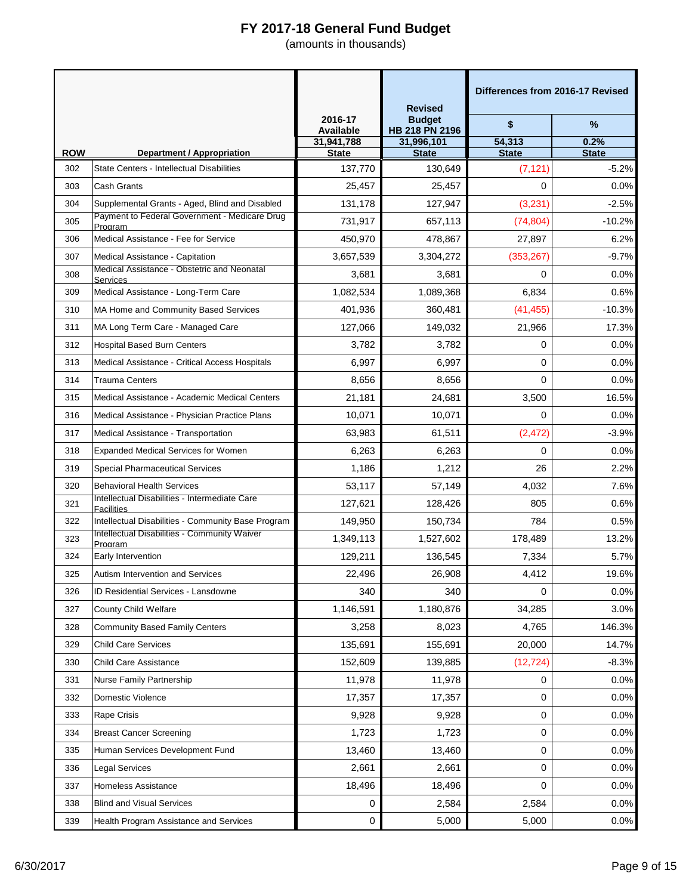|            |                                                                                                 |                             | <b>Revised</b>                  | Differences from 2016-17 Revised |              |
|------------|-------------------------------------------------------------------------------------------------|-----------------------------|---------------------------------|----------------------------------|--------------|
|            |                                                                                                 | 2016-17<br><b>Available</b> | <b>Budget</b><br>HB 218 PN 2196 | \$                               | %            |
|            |                                                                                                 | 31,941,788                  | 31,996,101                      | 54,313                           | 0.2%         |
| <b>ROW</b> | <b>Department / Appropriation</b>                                                               | <b>State</b>                | <b>State</b>                    | <b>State</b>                     | <b>State</b> |
| 302        | State Centers - Intellectual Disabilities                                                       | 137,770                     | 130,649                         | (7, 121)                         | $-5.2%$      |
| 303        | Cash Grants                                                                                     | 25,457                      | 25,457                          | $\Omega$                         | 0.0%         |
| 304        | Supplemental Grants - Aged, Blind and Disabled<br>Payment to Federal Government - Medicare Drug | 131,178                     | 127,947                         | (3, 231)                         | $-2.5%$      |
| 305        | Program                                                                                         | 731,917                     | 657,113                         | (74, 804)                        | $-10.2%$     |
| 306        | Medical Assistance - Fee for Service                                                            | 450,970                     | 478,867                         | 27,897                           | 6.2%         |
| 307        | Medical Assistance - Capitation<br>Medical Assistance - Obstetric and Neonatal                  | 3,657,539                   | 3,304,272                       | (353, 267)                       | $-9.7%$      |
| 308        | Services                                                                                        | 3,681                       | 3,681                           | 0                                | 0.0%         |
| 309        | Medical Assistance - Long-Term Care                                                             | 1,082,534                   | 1,089,368                       | 6,834                            | 0.6%         |
| 310        | MA Home and Community Based Services                                                            | 401,936                     | 360,481                         | (41, 455)                        | $-10.3%$     |
| 311        | MA Long Term Care - Managed Care                                                                | 127,066                     | 149,032                         | 21,966                           | 17.3%        |
| 312        | <b>Hospital Based Burn Centers</b>                                                              | 3,782                       | 3,782                           | 0                                | 0.0%         |
| 313        | Medical Assistance - Critical Access Hospitals                                                  | 6,997                       | 6,997                           | 0                                | 0.0%         |
| 314        | Trauma Centers                                                                                  | 8,656                       | 8,656                           | 0                                | 0.0%         |
| 315        | Medical Assistance - Academic Medical Centers                                                   | 21,181                      | 24,681                          | 3,500                            | 16.5%        |
| 316        | Medical Assistance - Physician Practice Plans                                                   | 10,071                      | 10,071                          | 0                                | 0.0%         |
| 317        | Medical Assistance - Transportation                                                             | 63,983                      | 61,511                          | (2, 472)                         | $-3.9%$      |
| 318        | <b>Expanded Medical Services for Women</b>                                                      | 6,263                       | 6,263                           | 0                                | 0.0%         |
| 319        | <b>Special Pharmaceutical Services</b>                                                          | 1,186                       | 1,212                           | 26                               | 2.2%         |
| 320        | <b>Behavioral Health Services</b>                                                               | 53,117                      | 57,149                          | 4,032                            | 7.6%         |
| 321        | Intellectual Disabilities - Intermediate Care<br>Facilities                                     | 127,621                     | 128,426                         | 805                              | 0.6%         |
| 322        | Intellectual Disabilities - Community Base Program                                              | 149,950                     | 150,734                         | 784                              | 0.5%         |
| 323        | <b>Intellectual Disabilities - Community Waiver</b><br>Program                                  | 1,349,113                   | 1,527,602                       | 178,489                          | 13.2%        |
| 324        | Early Intervention                                                                              | 129,211                     | 136,545                         | 7,334                            | 5.7%         |
| 325        | Autism Intervention and Services                                                                | 22,496                      | 26,908                          | 4,412                            | 19.6%        |
| 326        | ID Residential Services - Lansdowne                                                             | 340                         | 340                             | 0                                | 0.0%         |
| 327        | County Child Welfare                                                                            | 1,146,591                   | 1,180,876                       | 34,285                           | 3.0%         |
| 328        | <b>Community Based Family Centers</b>                                                           | 3,258                       | 8,023                           | 4,765                            | 146.3%       |
| 329        | <b>Child Care Services</b>                                                                      | 135,691                     | 155,691                         | 20,000                           | 14.7%        |
| 330        | <b>Child Care Assistance</b>                                                                    | 152,609                     | 139,885                         | (12, 724)                        | $-8.3%$      |
| 331        | Nurse Family Partnership                                                                        | 11,978                      | 11,978                          | 0                                | 0.0%         |
| 332        | Domestic Violence                                                                               | 17,357                      | 17,357                          | 0                                | 0.0%         |
| 333        | Rape Crisis                                                                                     | 9,928                       | 9,928                           | 0                                | 0.0%         |
| 334        | <b>Breast Cancer Screening</b>                                                                  | 1,723                       | 1,723                           | 0                                | 0.0%         |
| 335        | Human Services Development Fund                                                                 | 13,460                      | 13,460                          | 0                                | 0.0%         |
| 336        | Legal Services                                                                                  | 2,661                       | 2,661                           | 0                                | 0.0%         |
| 337        | Homeless Assistance                                                                             | 18,496                      | 18,496                          | 0                                | 0.0%         |
| 338        | <b>Blind and Visual Services</b>                                                                | 0                           | 2,584                           | 2,584                            | 0.0%         |
| 339        | Health Program Assistance and Services                                                          | 0                           | 5,000                           | 5,000                            | 0.0%         |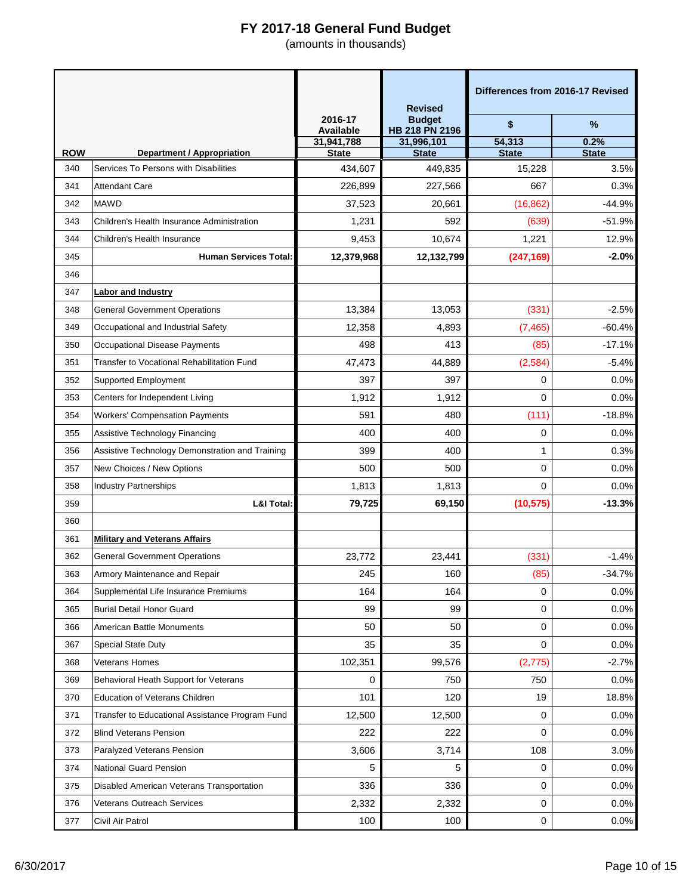|                   |                                                                            |                             | <b>Revised</b>                  | Differences from 2016-17 Revised |                      |
|-------------------|----------------------------------------------------------------------------|-----------------------------|---------------------------------|----------------------------------|----------------------|
|                   |                                                                            | 2016-17<br><b>Available</b> | <b>Budget</b><br>HB 218 PN 2196 | \$                               | %                    |
|                   |                                                                            | 31,941,788                  | 31,996,101                      | 54,313                           | 0.2%                 |
| <b>ROW</b><br>340 | <b>Department / Appropriation</b><br>Services To Persons with Disabilities | <b>State</b><br>434,607     | <b>State</b><br>449,835         | <b>State</b><br>15,228           | <b>State</b><br>3.5% |
| 341               | <b>Attendant Care</b>                                                      | 226,899                     | 227,566                         | 667                              | 0.3%                 |
| 342               | <b>MAWD</b>                                                                | 37,523                      | 20,661                          | (16, 862)                        | $-44.9%$             |
| 343               | Children's Health Insurance Administration                                 |                             | 592                             |                                  | $-51.9%$             |
|                   |                                                                            | 1,231                       | 10,674                          | (639)                            | 12.9%                |
| 344<br>345        | Children's Health Insurance<br><b>Human Services Total:</b>                | 9,453<br>12,379,968         | 12,132,799                      | 1,221<br>(247, 169)              | $-2.0%$              |
|                   |                                                                            |                             |                                 |                                  |                      |
| 346               |                                                                            |                             |                                 |                                  |                      |
| 347               | <b>Labor and Industry</b>                                                  |                             |                                 |                                  |                      |
| 348               | <b>General Government Operations</b>                                       | 13,384                      | 13,053                          | (331)                            | $-2.5%$              |
| 349               | Occupational and Industrial Safety                                         | 12,358                      | 4.893                           | (7, 465)                         | $-60.4%$             |
| 350               | Occupational Disease Payments                                              | 498                         | 413                             | (85)                             | $-17.1%$             |
| 351               | Transfer to Vocational Rehabilitation Fund                                 | 47,473                      | 44,889                          | (2, 584)                         | $-5.4%$              |
| 352               | <b>Supported Employment</b>                                                | 397                         | 397                             | 0                                | 0.0%                 |
| 353               | Centers for Independent Living                                             | 1,912                       | 1,912                           | 0                                | 0.0%                 |
| 354               | <b>Workers' Compensation Payments</b>                                      | 591                         | 480                             | (111)                            | $-18.8%$             |
| 355               | Assistive Technology Financing                                             | 400                         | 400                             | 0                                | 0.0%                 |
| 356               | Assistive Technology Demonstration and Training                            | 399                         | 400                             | $\mathbf{1}$                     | 0.3%                 |
| 357               | New Choices / New Options                                                  | 500                         | 500                             | 0                                | 0.0%                 |
| 358               | <b>Industry Partnerships</b>                                               | 1,813                       | 1,813                           | 0                                | 0.0%                 |
| 359               | <b>L&amp;I Total:</b>                                                      | 79,725                      | 69,150                          | (10, 575)                        | $-13.3%$             |
| 360               |                                                                            |                             |                                 |                                  |                      |
| 361               | <b>Military and Veterans Affairs</b>                                       |                             |                                 |                                  |                      |
| 362               | <b>General Government Operations</b>                                       | 23,772                      | 23,441                          | (331)                            | $-1.4%$              |
| 363               | Armory Maintenance and Repair                                              | 245                         | 160                             | (85)                             | $-34.7%$             |
| 364               | Supplemental Life Insurance Premiums                                       | 164                         | 164                             | 0                                | 0.0%                 |
| 365               | Burial Detail Honor Guard                                                  | 99                          | 99                              | 0                                | 0.0%                 |
| 366               | American Battle Monuments                                                  | 50                          | 50                              | 0                                | 0.0%                 |
| 367               | <b>Special State Duty</b>                                                  | 35                          | 35                              | 0                                | 0.0%                 |
| 368               | <b>Veterans Homes</b>                                                      | 102,351                     | 99,576                          | (2, 775)                         | $-2.7%$              |
| 369               | Behavioral Heath Support for Veterans                                      | 0                           | 750                             | 750                              | 0.0%                 |
| 370               | Education of Veterans Children                                             | 101                         | 120                             | 19                               | 18.8%                |
| 371               | Transfer to Educational Assistance Program Fund                            | 12,500                      | 12,500                          | 0                                | 0.0%                 |
| 372               | <b>Blind Veterans Pension</b>                                              | 222                         | 222                             | 0                                | 0.0%                 |
| 373               | Paralyzed Veterans Pension                                                 | 3,606                       | 3,714                           | 108                              | 3.0%                 |
| 374               | National Guard Pension                                                     | 5                           | 5                               | 0                                | 0.0%                 |
| 375               | Disabled American Veterans Transportation                                  | 336                         | 336                             | 0                                | 0.0%                 |
| 376               | <b>Veterans Outreach Services</b>                                          | 2,332                       | 2,332                           | 0                                | 0.0%                 |
| 377               | Civil Air Patrol                                                           | 100                         | 100                             | 0                                | 0.0%                 |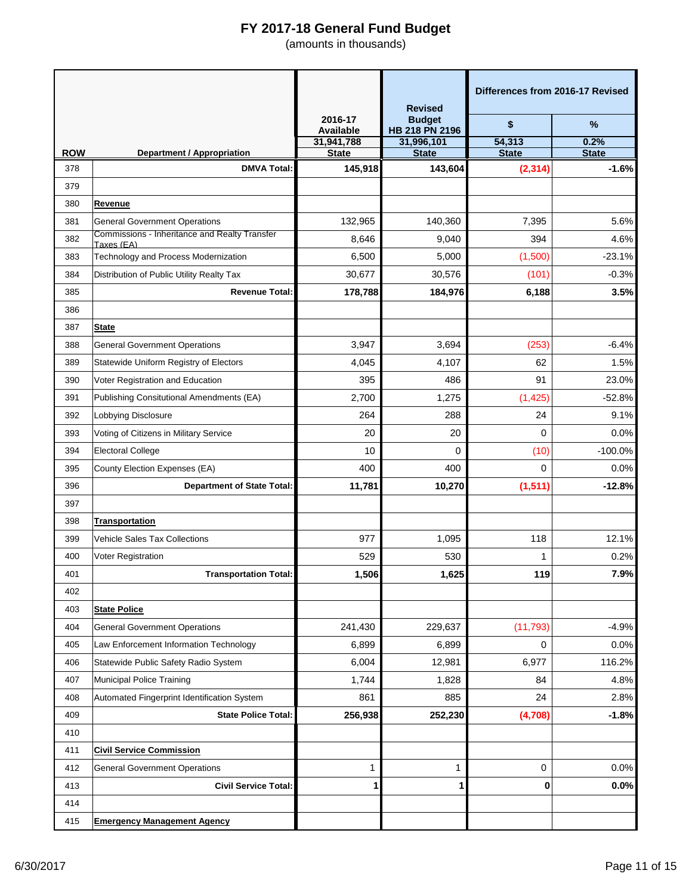|            |                                                         |                             | <b>Revised</b>                  |                        | Differences from 2016-17 Revised |
|------------|---------------------------------------------------------|-----------------------------|---------------------------------|------------------------|----------------------------------|
|            |                                                         | 2016-17<br><b>Available</b> | <b>Budget</b><br>HB 218 PN 2196 | \$                     | $\%$                             |
| <b>ROW</b> |                                                         | 31,941,788                  | 31,996,101                      | 54,313<br><b>State</b> | 0.2%                             |
| 378        | <b>Department / Appropriation</b><br><b>DMVA Total:</b> | <b>State</b><br>145,918     | <b>State</b><br>143,604         | (2, 314)               | <b>State</b><br>$-1.6%$          |
| 379        |                                                         |                             |                                 |                        |                                  |
| 380        | Revenue                                                 |                             |                                 |                        |                                  |
| 381        | <b>General Government Operations</b>                    | 132,965                     | 140.360                         | 7,395                  | 5.6%                             |
| 382        | Commissions - Inheritance and Realty Transfer           | 8,646                       | 9,040                           | 394                    | 4.6%                             |
| 383        | Taxes (EA)<br>Technology and Process Modernization      | 6,500                       | 5,000                           | (1,500)                | $-23.1%$                         |
| 384        | Distribution of Public Utility Realty Tax               | 30,677                      | 30,576                          | (101)                  | $-0.3%$                          |
| 385        | <b>Revenue Total:</b>                                   | 178,788                     | 184,976                         | 6,188                  | 3.5%                             |
| 386        |                                                         |                             |                                 |                        |                                  |
| 387        | <b>State</b>                                            |                             |                                 |                        |                                  |
| 388        | <b>General Government Operations</b>                    | 3,947                       | 3,694                           | (253)                  | $-6.4%$                          |
| 389        | Statewide Uniform Registry of Electors                  | 4,045                       | 4,107                           | 62                     | 1.5%                             |
| 390        | Voter Registration and Education                        | 395                         | 486                             | 91                     | 23.0%                            |
| 391        | Publishing Consitutional Amendments (EA)                | 2,700                       | 1,275                           | (1, 425)               | $-52.8%$                         |
| 392        | Lobbying Disclosure                                     | 264                         | 288                             | 24                     | 9.1%                             |
| 393        | Voting of Citizens in Military Service                  | 20                          | 20                              | 0                      | 0.0%                             |
| 394        | <b>Electoral College</b>                                | 10                          | 0                               | (10)                   | $-100.0%$                        |
| 395        | County Election Expenses (EA)                           | 400                         | 400                             | 0                      | 0.0%                             |
| 396        | <b>Department of State Total:</b>                       | 11,781                      | 10,270                          | (1, 511)               | $-12.8%$                         |
| 397        |                                                         |                             |                                 |                        |                                  |
| 398        | <b>Transportation</b>                                   |                             |                                 |                        |                                  |
| 399        | <b>Vehicle Sales Tax Collections</b>                    | 977                         | 1,095                           | 118                    | 12.1%                            |
| 400        | Voter Registration                                      | 529                         | 530                             | 1                      | 0.2%                             |
| 401        | <b>Transportation Total:</b>                            | 1,506                       | 1,625                           | 119                    | 7.9%                             |
| 402        |                                                         |                             |                                 |                        |                                  |
| 403        | <b>State Police</b>                                     |                             |                                 |                        |                                  |
| 404        | <b>General Government Operations</b>                    | 241,430                     | 229,637                         | (11, 793)              | $-4.9%$                          |
| 405        | Law Enforcement Information Technology                  | 6,899                       | 6,899                           | 0                      | 0.0%                             |
| 406        | Statewide Public Safety Radio System                    | 6,004                       | 12,981                          | 6,977                  | 116.2%                           |
| 407        | Municipal Police Training                               | 1,744                       | 1,828                           | 84                     | 4.8%                             |
| 408        | Automated Fingerprint Identification System             | 861                         | 885                             | 24                     | 2.8%                             |
| 409        | <b>State Police Total:</b>                              | 256,938                     | 252,230                         | (4,708)                | $-1.8%$                          |
| 410        |                                                         |                             |                                 |                        |                                  |
| 411        | <b>Civil Service Commission</b>                         |                             |                                 |                        |                                  |
| 412        | <b>General Government Operations</b>                    | $\mathbf{1}$                | 1                               | 0                      | 0.0%                             |
| 413        | <b>Civil Service Total:</b>                             | 1                           | 1                               | 0                      | 0.0%                             |
| 414        |                                                         |                             |                                 |                        |                                  |
| 415        | <b>Emergency Management Agency</b>                      |                             |                                 |                        |                                  |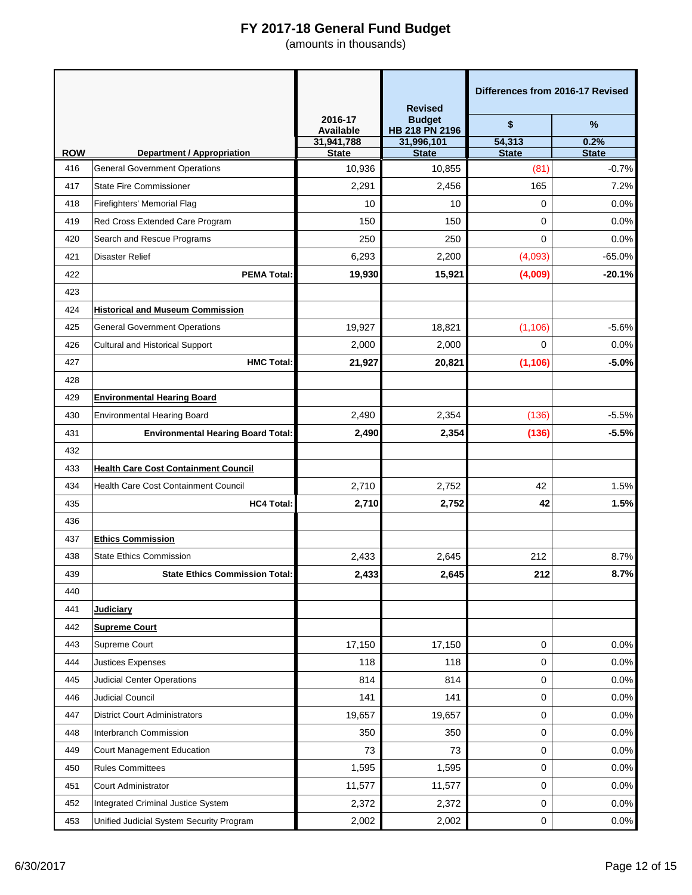|            |                                                                           |                             | <b>Revised</b>                  | Differences from 2016-17 Revised |                      |
|------------|---------------------------------------------------------------------------|-----------------------------|---------------------------------|----------------------------------|----------------------|
|            |                                                                           | 2016-17<br><b>Available</b> | <b>Budget</b><br>HB 218 PN 2196 | \$                               | %                    |
| <b>ROW</b> |                                                                           | 31,941,788<br><b>State</b>  | 31,996,101<br><b>State</b>      | 54,313<br><b>State</b>           | 0.2%<br><b>State</b> |
| 416        | <b>Department / Appropriation</b><br><b>General Government Operations</b> | 10,936                      | 10,855                          | (81)                             | $-0.7%$              |
| 417        | <b>State Fire Commissioner</b>                                            | 2,291                       | 2,456                           | 165                              | 7.2%                 |
| 418        | Firefighters' Memorial Flag                                               | 10                          | 10                              | 0                                | 0.0%                 |
| 419        | Red Cross Extended Care Program                                           | 150                         | 150                             | 0                                | 0.0%                 |
| 420        | Search and Rescue Programs                                                | 250                         | 250                             | 0                                | 0.0%                 |
| 421        | <b>Disaster Relief</b>                                                    | 6,293                       | 2,200                           | (4,093)                          | $-65.0%$             |
| 422        | <b>PEMA Total:</b>                                                        | 19,930                      | 15,921                          | (4,009)                          | $-20.1%$             |
| 423        |                                                                           |                             |                                 |                                  |                      |
| 424        | <b>Historical and Museum Commission</b>                                   |                             |                                 |                                  |                      |
| 425        | <b>General Government Operations</b>                                      | 19,927                      | 18,821                          | (1, 106)                         | $-5.6%$              |
| 426        | <b>Cultural and Historical Support</b>                                    | 2,000                       | 2,000                           | 0                                | 0.0%                 |
| 427        | <b>HMC Total:</b>                                                         | 21,927                      | 20,821                          | (1, 106)                         | $-5.0%$              |
| 428        |                                                                           |                             |                                 |                                  |                      |
| 429        | <b>Environmental Hearing Board</b>                                        |                             |                                 |                                  |                      |
| 430        | <b>Environmental Hearing Board</b>                                        | 2,490                       | 2,354                           | (136)                            | $-5.5%$              |
| 431        | <b>Environmental Hearing Board Total:</b>                                 | 2,490                       | 2,354                           | (136)                            | $-5.5%$              |
| 432        |                                                                           |                             |                                 |                                  |                      |
| 433        | <b>Health Care Cost Containment Council</b>                               |                             |                                 |                                  |                      |
| 434        | Health Care Cost Containment Council                                      | 2,710                       | 2,752                           | 42                               | 1.5%                 |
| 435        | <b>HC4 Total:</b>                                                         | 2,710                       | 2,752                           | 42                               | 1.5%                 |
| 436        |                                                                           |                             |                                 |                                  |                      |
| 437        | <b>Ethics Commission</b>                                                  |                             |                                 |                                  |                      |
| 438        | <b>State Ethics Commission</b>                                            | 2,433                       | 2,645                           | 212                              | 8.7%                 |
| 439        | <b>State Ethics Commission Total:</b>                                     | 2,433                       | 2,645                           | 212                              | 8.7%                 |
| 440        |                                                                           |                             |                                 |                                  |                      |
| 441        | <b>Judiciary</b>                                                          |                             |                                 |                                  |                      |
| 442        | <b>Supreme Court</b>                                                      |                             |                                 |                                  |                      |
| 443        | Supreme Court                                                             | 17,150                      | 17,150                          | 0                                | 0.0%                 |
| 444        | <b>Justices Expenses</b>                                                  | 118                         | 118                             | 0                                | 0.0%                 |
| 445        | <b>Judicial Center Operations</b>                                         | 814                         | 814                             | 0                                | 0.0%                 |
| 446        | <b>Judicial Council</b>                                                   | 141                         | 141                             | 0                                | 0.0%                 |
| 447        | <b>District Court Administrators</b>                                      | 19,657                      | 19,657                          | 0                                | 0.0%                 |
| 448        | Interbranch Commission                                                    | 350                         | 350                             | 0                                | 0.0%                 |
| 449        | Court Management Education                                                | 73                          | 73                              | 0                                | 0.0%                 |
| 450        | <b>Rules Committees</b>                                                   | 1,595                       | 1,595                           | 0                                | 0.0%                 |
| 451        | <b>Court Administrator</b>                                                | 11,577                      | 11,577                          | 0                                | 0.0%                 |
| 452        | <b>Integrated Criminal Justice System</b>                                 | 2,372                       | 2,372                           | 0                                | 0.0%                 |
| 453        | Unified Judicial System Security Program                                  | 2,002                       | 2,002                           | 0                                | 0.0%                 |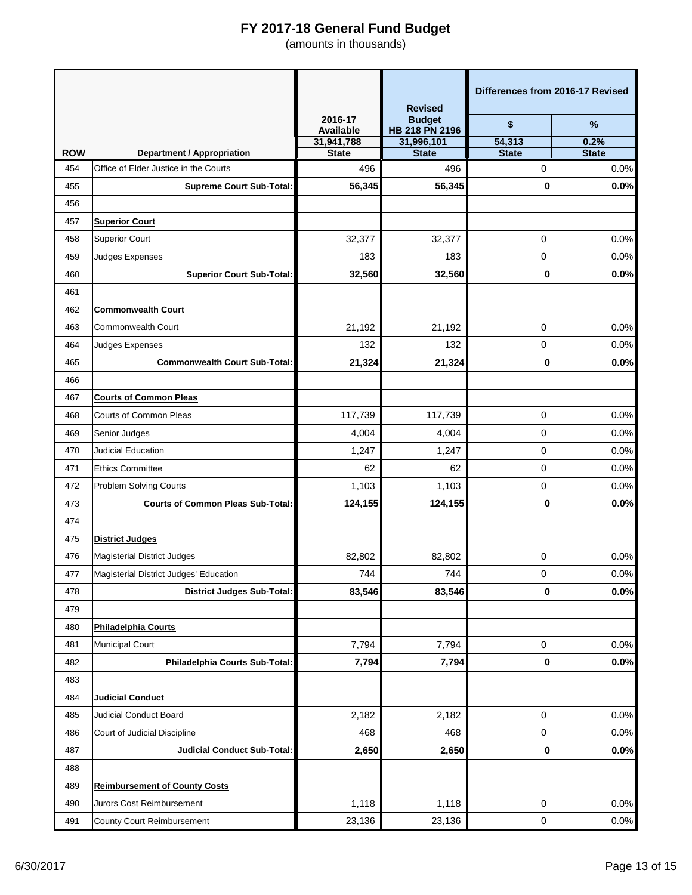|            |                                          |                             | <b>Revised</b>                  | Differences from 2016-17 Revised |                      |
|------------|------------------------------------------|-----------------------------|---------------------------------|----------------------------------|----------------------|
|            |                                          | 2016-17<br><b>Available</b> | <b>Budget</b><br>HB 218 PN 2196 | \$                               | $\%$                 |
| <b>ROW</b> | <b>Department / Appropriation</b>        | 31,941,788<br><b>State</b>  | 31,996,101<br><b>State</b>      | 54,313<br><b>State</b>           | 0.2%<br><b>State</b> |
| 454        | Office of Elder Justice in the Courts    | 496                         | 496                             | 0                                | 0.0%                 |
| 455        | <b>Supreme Court Sub-Total:</b>          | 56,345                      | 56,345                          | 0                                | 0.0%                 |
| 456        |                                          |                             |                                 |                                  |                      |
| 457        | <b>Superior Court</b>                    |                             |                                 |                                  |                      |
| 458        | <b>Superior Court</b>                    | 32,377                      | 32,377                          | 0                                | 0.0%                 |
| 459        | Judges Expenses                          | 183                         | 183                             | 0                                | 0.0%                 |
| 460        | <b>Superior Court Sub-Total:</b>         | 32,560                      | 32,560                          | 0                                | 0.0%                 |
| 461        |                                          |                             |                                 |                                  |                      |
| 462        | <b>Commonwealth Court</b>                |                             |                                 |                                  |                      |
| 463        | <b>Commonwealth Court</b>                | 21,192                      | 21,192                          | 0                                | 0.0%                 |
| 464        | Judges Expenses                          | 132                         | 132                             | 0                                | 0.0%                 |
| 465        | <b>Commonwealth Court Sub-Total:</b>     | 21,324                      | 21,324                          | 0                                | 0.0%                 |
| 466        |                                          |                             |                                 |                                  |                      |
| 467        | <b>Courts of Common Pleas</b>            |                             |                                 |                                  |                      |
| 468        | <b>Courts of Common Pleas</b>            | 117,739                     | 117,739                         | 0                                | 0.0%                 |
| 469        | Senior Judges                            | 4,004                       | 4,004                           | 0                                | 0.0%                 |
| 470        | Judicial Education                       | 1,247                       | 1,247                           | 0                                | 0.0%                 |
| 471        | <b>Ethics Committee</b>                  | 62                          | 62                              | 0                                | 0.0%                 |
| 472        | Problem Solving Courts                   | 1,103                       | 1,103                           | 0                                | 0.0%                 |
| 473        | <b>Courts of Common Pleas Sub-Total:</b> | 124,155                     | 124,155                         | 0                                | 0.0%                 |
| 474        |                                          |                             |                                 |                                  |                      |
| 475        | <b>District Judges</b>                   |                             |                                 |                                  |                      |
| 476        | <b>Magisterial District Judges</b>       | 82,802                      | 82,802                          | 0                                | 0.0%                 |
| 477        | Magisterial District Judges' Education   | 744                         | 744                             | 0                                | 0.0%                 |
| 478        | <b>District Judges Sub-Total:</b>        | 83,546                      | 83,546                          | 0                                | 0.0%                 |
| 479        |                                          |                             |                                 |                                  |                      |
| 480        | <b>Philadelphia Courts</b>               |                             |                                 |                                  |                      |
| 481        | <b>Municipal Court</b>                   | 7,794                       | 7,794                           | 0                                | 0.0%                 |
| 482        | Philadelphia Courts Sub-Total:           | 7,794                       | 7,794                           | 0                                | 0.0%                 |
| 483        |                                          |                             |                                 |                                  |                      |
| 484        | <b>Judicial Conduct</b>                  |                             |                                 |                                  |                      |
| 485        | Judicial Conduct Board                   | 2,182                       | 2,182                           | 0                                | 0.0%                 |
| 486        | Court of Judicial Discipline             | 468                         | 468                             | 0                                | 0.0%                 |
| 487        | <b>Judicial Conduct Sub-Total:</b>       | 2,650                       | 2,650                           | 0                                | 0.0%                 |
| 488        |                                          |                             |                                 |                                  |                      |
| 489        | <b>Reimbursement of County Costs</b>     |                             |                                 |                                  |                      |
| 490        | Jurors Cost Reimbursement                | 1,118                       | 1,118                           | 0                                | 0.0%                 |
| 491        | County Court Reimbursement               | 23,136                      | 23,136                          | 0                                | 0.0%                 |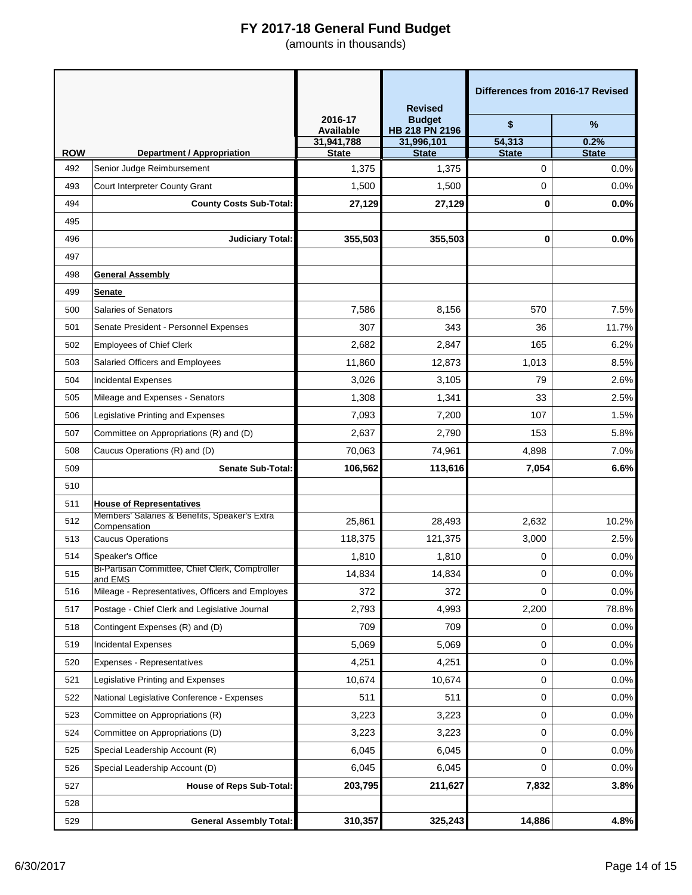|            |                                                               |                             | <b>Revised</b>                  | Differences from 2016-17 Revised |                      |
|------------|---------------------------------------------------------------|-----------------------------|---------------------------------|----------------------------------|----------------------|
|            |                                                               | 2016-17<br><b>Available</b> | <b>Budget</b><br>HB 218 PN 2196 | \$                               | %                    |
| <b>ROW</b> | <b>Department / Appropriation</b>                             | 31,941,788<br><b>State</b>  | 31,996,101<br><b>State</b>      | 54,313<br><b>State</b>           | 0.2%<br><b>State</b> |
| 492        | Senior Judge Reimbursement                                    | 1,375                       | 1,375                           | 0                                | 0.0%                 |
| 493        | Court Interpreter County Grant                                | 1,500                       | 1,500                           | 0                                | 0.0%                 |
| 494        | <b>County Costs Sub-Total:</b>                                | 27,129                      | 27,129                          | 0                                | 0.0%                 |
| 495        |                                                               |                             |                                 |                                  |                      |
| 496        | <b>Judiciary Total:</b>                                       | 355,503                     | 355,503                         | 0                                | 0.0%                 |
| 497        |                                                               |                             |                                 |                                  |                      |
| 498        | <b>General Assembly</b>                                       |                             |                                 |                                  |                      |
| 499        | <b>Senate</b>                                                 |                             |                                 |                                  |                      |
| 500        | <b>Salaries of Senators</b>                                   | 7,586                       | 8,156                           | 570                              | 7.5%                 |
| 501        | Senate President - Personnel Expenses                         | 307                         | 343                             | 36                               | 11.7%                |
| 502        | <b>Employees of Chief Clerk</b>                               | 2,682                       | 2,847                           | 165                              | 6.2%                 |
| 503        | Salaried Officers and Employees                               | 11,860                      | 12,873                          | 1,013                            | 8.5%                 |
| 504        | <b>Incidental Expenses</b>                                    | 3,026                       | 3,105                           | 79                               | 2.6%                 |
| 505        | Mileage and Expenses - Senators                               | 1,308                       | 1,341                           | 33                               | 2.5%                 |
| 506        | Legislative Printing and Expenses                             | 7,093                       | 7,200                           | 107                              | 1.5%                 |
| 507        | Committee on Appropriations (R) and (D)                       | 2,637                       | 2,790                           | 153                              | 5.8%                 |
| 508        | Caucus Operations (R) and (D)                                 | 70,063                      | 74,961                          | 4,898                            | 7.0%                 |
| 509        | <b>Senate Sub-Total:</b>                                      | 106,562                     | 113,616                         | 7,054                            | 6.6%                 |
| 510        |                                                               |                             |                                 |                                  |                      |
| 511        | <b>House of Representatives</b>                               |                             |                                 |                                  |                      |
| 512        | Members' Salaries & Benefits, Speaker's Extra<br>Compensation | 25,861                      | 28,493                          | 2,632                            | 10.2%                |
| 513        | <b>Caucus Operations</b>                                      | 118,375                     | 121,375                         | 3,000                            | 2.5%                 |
| 514        | Speaker's Office                                              | 1,810                       | 1,810                           | 0                                | 0.0%                 |
| 515        | Bi-Partisan Committee, Chief Clerk, Comptroller<br>and EMS    | 14,834                      | 14,834                          | 0                                | 0.0%                 |
| 516        | Mileage - Representatives, Officers and Employes              | 372                         | 372                             | 0                                | 0.0%                 |
| 517        | Postage - Chief Clerk and Legislative Journal                 | 2,793                       | 4,993                           | 2,200                            | 78.8%                |
| 518        | Contingent Expenses (R) and (D)                               | 709                         | 709                             | 0                                | 0.0%                 |
| 519        | <b>Incidental Expenses</b>                                    | 5,069                       | 5,069                           | 0                                | 0.0%                 |
| 520        | Expenses - Representatives                                    | 4,251                       | 4,251                           | 0                                | 0.0%                 |
| 521        | Legislative Printing and Expenses                             | 10,674                      | 10,674                          | 0                                | 0.0%                 |
| 522        | National Legislative Conference - Expenses                    | 511                         | 511                             | 0                                | 0.0%                 |
| 523        | Committee on Appropriations (R)                               | 3,223                       | 3,223                           | 0                                | 0.0%                 |
| 524        | Committee on Appropriations (D)                               | 3,223                       | 3,223                           | 0                                | 0.0%                 |
| 525        | Special Leadership Account (R)                                | 6,045                       | 6,045                           | 0                                | 0.0%                 |
| 526        | Special Leadership Account (D)                                | 6,045                       | 6,045                           | 0                                | 0.0%                 |
| 527        | <b>House of Reps Sub-Total:</b>                               | 203,795                     | 211,627                         | 7,832                            | 3.8%                 |
| 528        |                                                               |                             |                                 |                                  |                      |
| 529        | <b>General Assembly Total:</b>                                | 310,357                     | 325,243                         | 14,886                           | 4.8%                 |